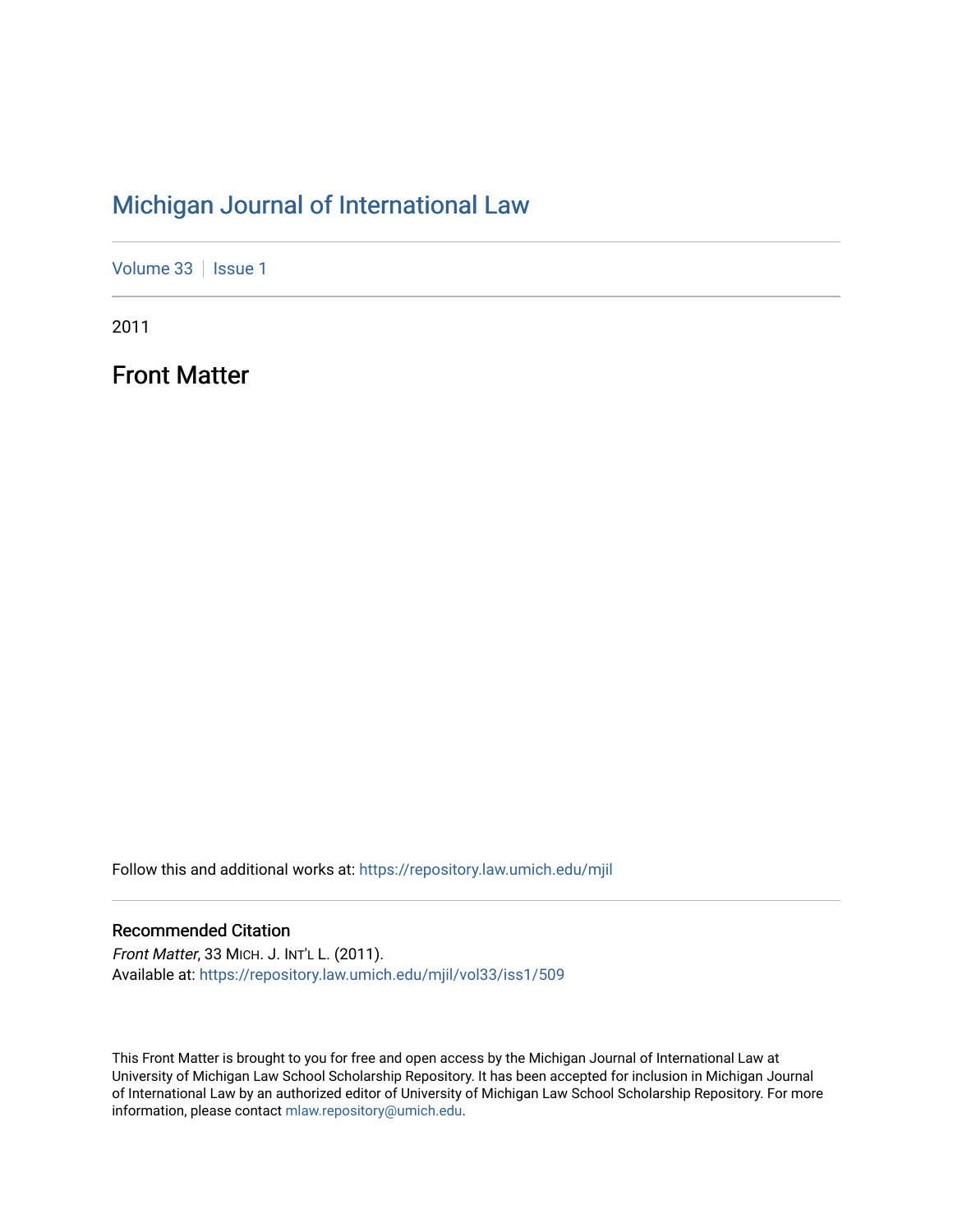# [Michigan Journal of International Law](https://repository.law.umich.edu/mjil)

[Volume 33](https://repository.law.umich.edu/mjil/vol33) | [Issue 1](https://repository.law.umich.edu/mjil/vol33/iss1)

2011

Front Matter

Follow this and additional works at: [https://repository.law.umich.edu/mjil](https://repository.law.umich.edu/mjil?utm_source=repository.law.umich.edu%2Fmjil%2Fvol33%2Fiss1%2F509&utm_medium=PDF&utm_campaign=PDFCoverPages) 

# Recommended Citation

Front Matter, 33 MICH. J. INT'L L. (2011). Available at: [https://repository.law.umich.edu/mjil/vol33/iss1/509](https://repository.law.umich.edu/mjil/vol33/iss1/509?utm_source=repository.law.umich.edu%2Fmjil%2Fvol33%2Fiss1%2F509&utm_medium=PDF&utm_campaign=PDFCoverPages) 

This Front Matter is brought to you for free and open access by the Michigan Journal of International Law at University of Michigan Law School Scholarship Repository. It has been accepted for inclusion in Michigan Journal of International Law by an authorized editor of University of Michigan Law School Scholarship Repository. For more information, please contact [mlaw.repository@umich.edu](mailto:mlaw.repository@umich.edu).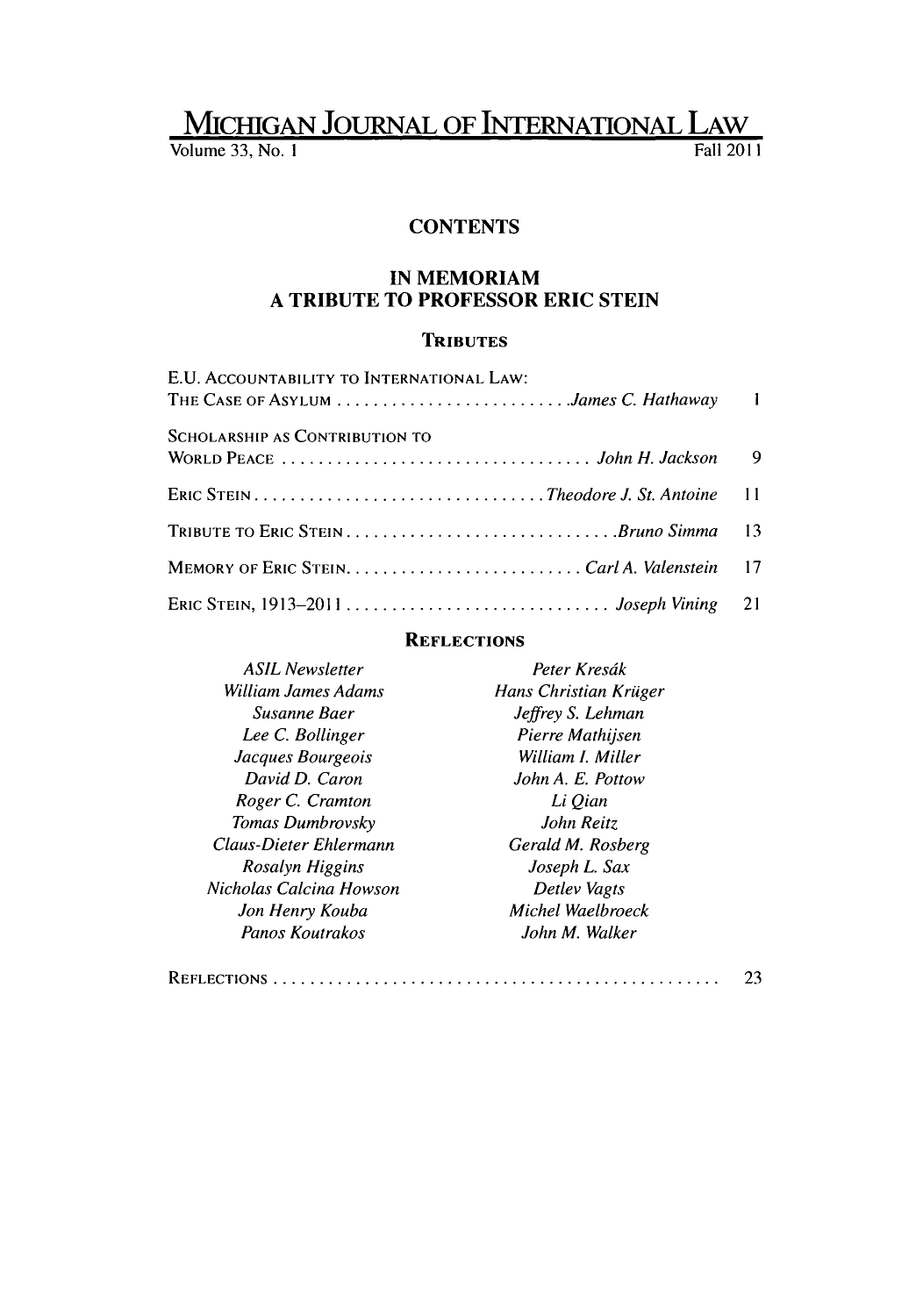# **MICHIGAN** JOURNAL OF **INTERNATIONAL** LAW

Volume 33, No. **I** Fall 2011

### **CONTENTS**

## **IN MEMORIAM A TRIBUTE TO PROFESSOR ERIC STEIN**

## **TRIBUTES**

| E.U. ACCOUNTABILITY TO INTERNATIONAL LAW: |  |
|-------------------------------------------|--|
| THE CASE OF ASYLUM James C. Hathaway 1    |  |
| <b>SCHOLARSHIP AS CONTRIBUTION TO</b>     |  |
|                                           |  |
|                                           |  |
|                                           |  |
|                                           |  |
|                                           |  |

#### **REFLECTIONS**

| <b>ASIL Newsletter</b>  | Peter Kresák          |
|-------------------------|-----------------------|
| William James Adams     | Hans Christian Krüger |
| Susanne Baer            | Jeffrey S. Lehman     |
| Lee C. Bollinger        | Pierre Mathijsen      |
| Jacques Bourgeois       | William I. Miller     |
| David D. Caron          | John A. E. Pottow     |
| Roger C. Cramton        | Li Qian               |
| Tomas Dumbrovsky        | John Reitz            |
| Claus-Dieter Ehlermann  | Gerald M. Rosberg     |
| Rosalyn Higgins         | Joseph L. Sax         |
| Nicholas Calcina Howson | Detlev Vagts          |
| Jon Henry Kouba         | Michel Waelbroeck     |
| Panos Koutrakos         | John M. Walker        |

|--|--|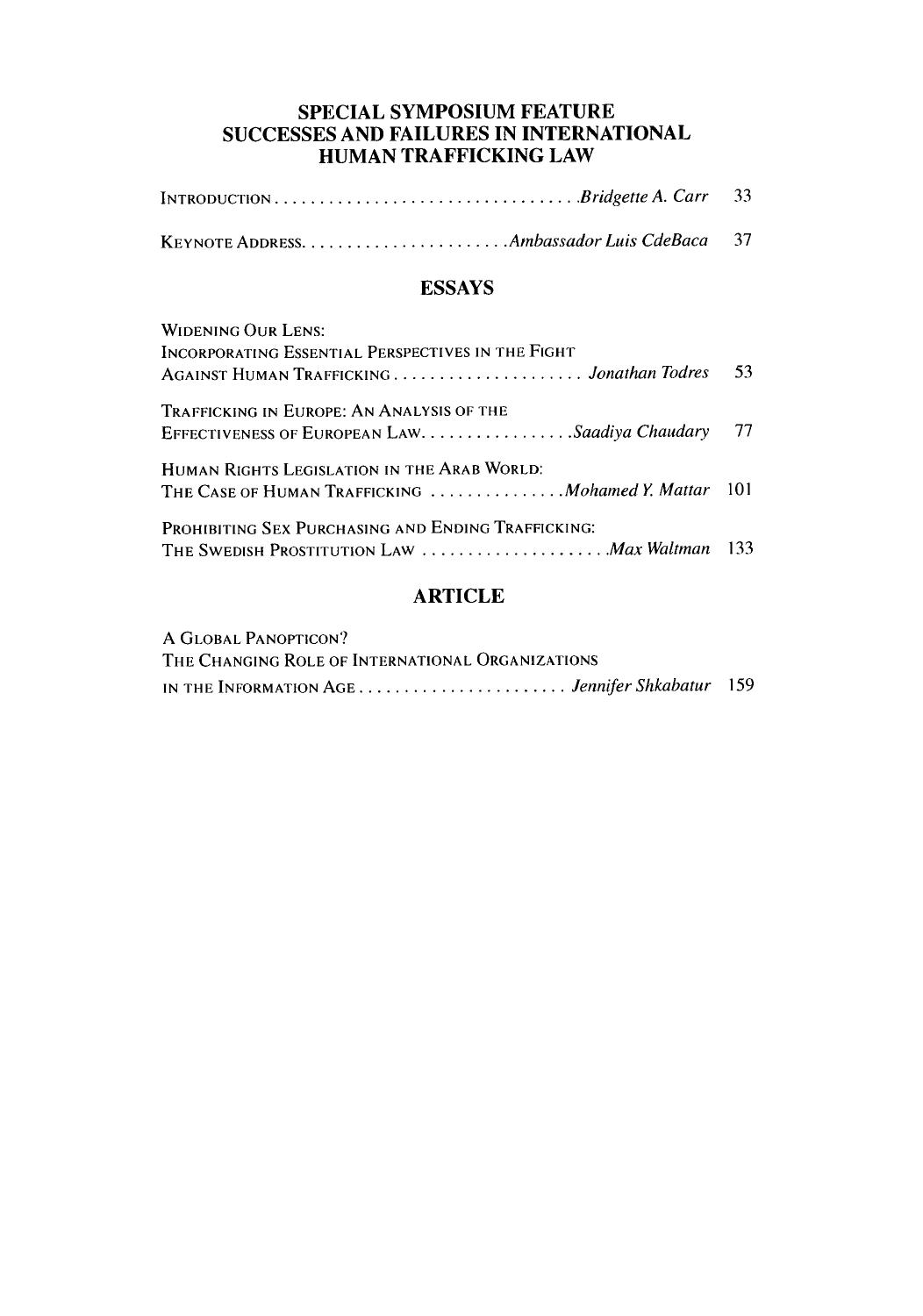## **SPECIAL SYMPOSIUM FEATURE SUCCESSES AND FAILURES IN INTERNATIONAL HUMAN** TRAFFICKING LAW

|--|--|--|

# **ESSAYS**

| <b>WIDENING OUR LENS:</b>                                                                           |      |
|-----------------------------------------------------------------------------------------------------|------|
| INCORPORATING ESSENTIAL PERSPECTIVES IN THE FIGHT<br>AGAINST HUMAN TRAFFICKING  Jonathan Todres     | 53   |
| TRAFFICKING IN EUROPE: AN ANALYSIS OF THE<br>EFFECTIVENESS OF EUROPEAN LAW. Saadiya Chaudary        | - 77 |
| HUMAN RIGHTS LEGISLATION IN THE ARAB WORLD.<br>THE CASE OF HUMAN TRAFFICKING  Mohamed Y. Mattar 101 |      |
| <b>PROHIBITING SEX PURCHASING AND ENDING TRAFFICKING:</b>                                           |      |

# ARTICLE

| A GLOBAL PANOPTICON?                             |  |  |
|--------------------------------------------------|--|--|
| THE CHANGING ROLE OF INTERNATIONAL ORGANIZATIONS |  |  |
| IN THE INFORMATION AGE  Jennifer Shkabatur 159   |  |  |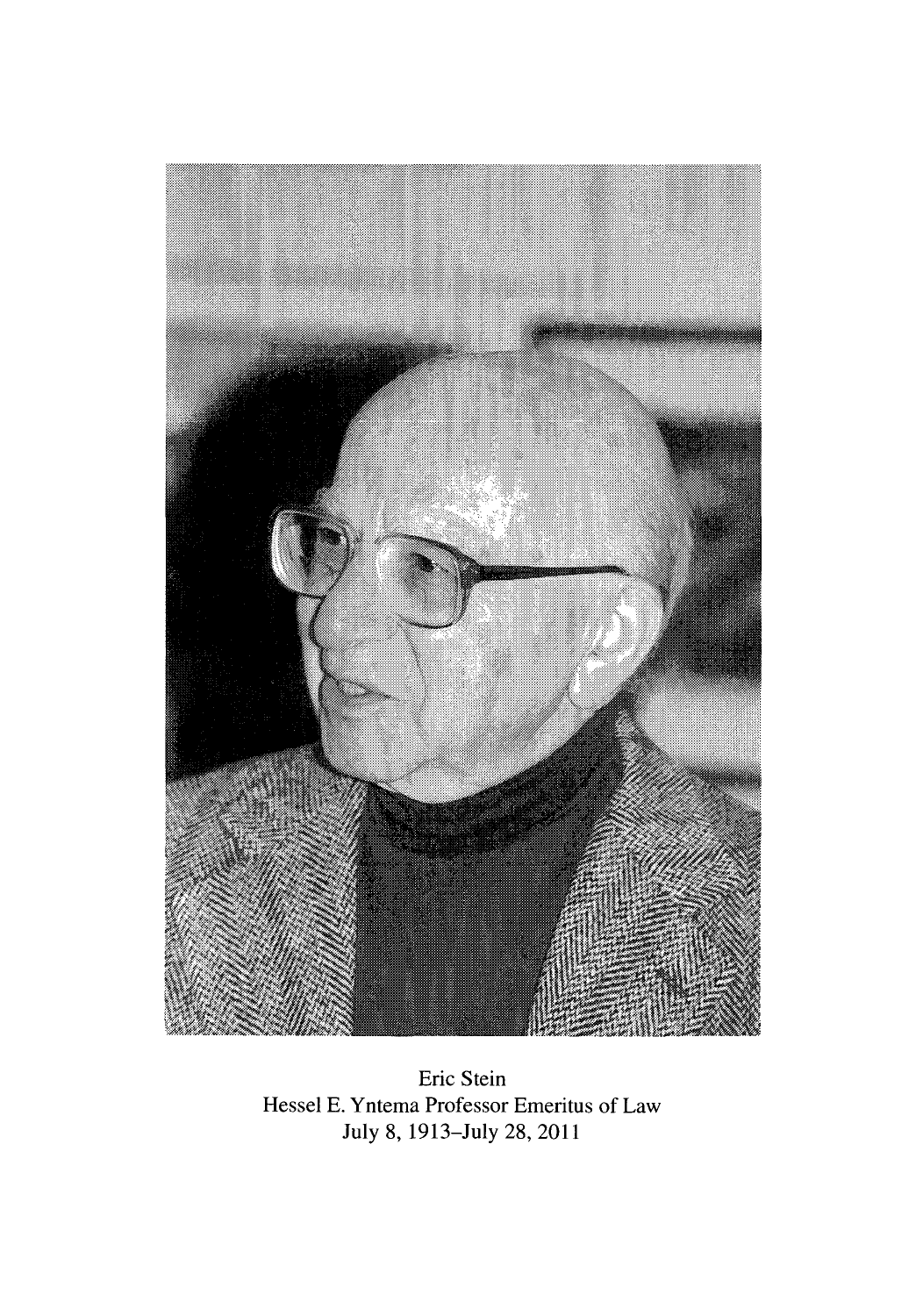

Eric Stein Hessel E. Yntema Professor Emeritus of Law July 8, 1913-July 28, 2011